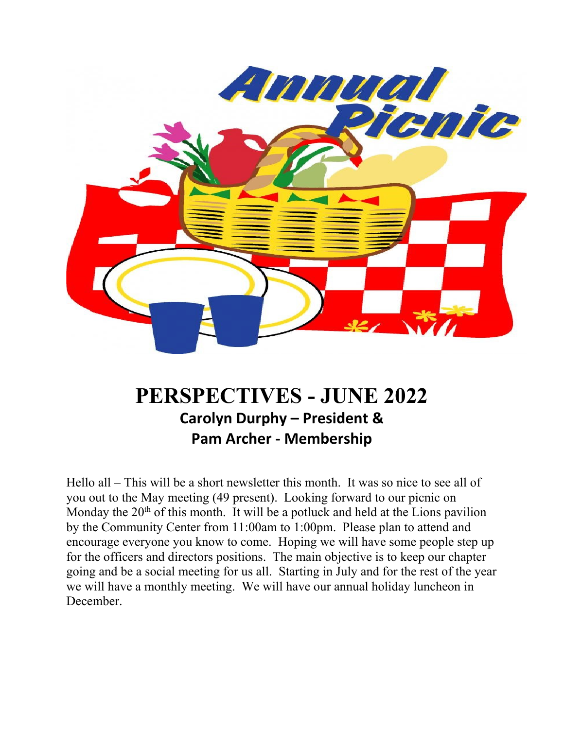

# **PERSPECTIVES - JUNE 2022 Carolyn Durphy – President & Pam Archer - Membership**

Hello all – This will be a short newsletter this month. It was so nice to see all of you out to the May meeting (49 present). Looking forward to our picnic on Monday the  $20<sup>th</sup>$  of this month. It will be a potluck and held at the Lions pavilion by the Community Center from 11:00am to 1:00pm. Please plan to attend and encourage everyone you know to come. Hoping we will have some people step up for the officers and directors positions. The main objective is to keep our chapter going and be a social meeting for us all. Starting in July and for the rest of the year we will have a monthly meeting. We will have our annual holiday luncheon in December.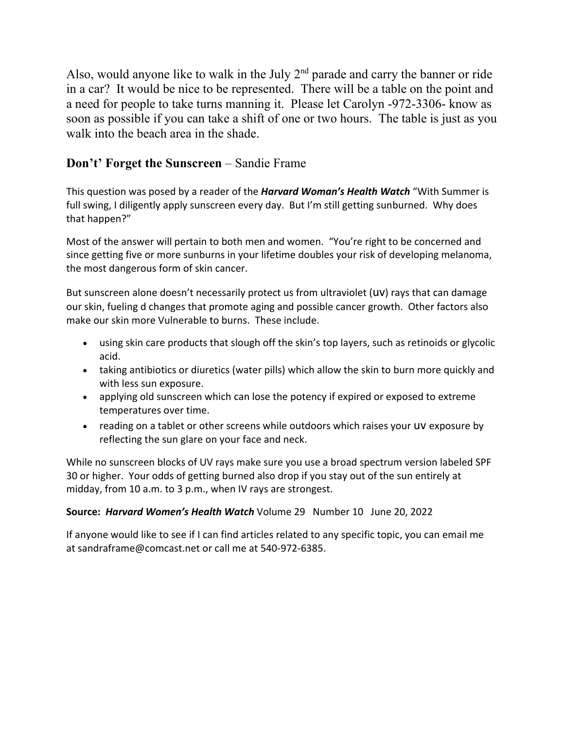Also, would anyone like to walk in the July  $2<sup>nd</sup>$  parade and carry the banner or ride in a car? It would be nice to be represented. There will be a table on the point and a need for people to take turns manning it. Please let Carolyn -972-3306- know as soon as possible if you can take a shift of one or two hours. The table is just as you walk into the beach area in the shade.

## **Don't' Forget the Sunscreen** – Sandie Frame

This question was posed by a reader of the *Harvard Woman's Health Watch* "With Summer is full swing, I diligently apply sunscreen every day. But I'm still getting sunburned. Why does that happen?"

Most of the answer will pertain to both men and women. "You're right to be concerned and since getting five or more sunburns in your lifetime doubles your risk of developing melanoma, the most dangerous form of skin cancer.

But sunscreen alone doesn't necessarily protect us from ultraviolet (uv) rays that can damage our skin, fueling d changes that promote aging and possible cancer growth. Other factors also make our skin more Vulnerable to burns. These include.

- using skin care products that slough off the skin's top layers, such as retinoids or glycolic acid.
- taking antibiotics or diuretics (water pills) which allow the skin to burn more quickly and with less sun exposure.
- applying old sunscreen which can lose the potency if expired or exposed to extreme temperatures over time.
- reading on a tablet or other screens while outdoors which raises your UV exposure by reflecting the sun glare on your face and neck.

While no sunscreen blocks of UV rays make sure you use a broad spectrum version labeled SPF 30 or higher. Your odds of getting burned also drop if you stay out of the sun entirely at midday, from 10 a.m. to 3 p.m., when IV rays are strongest.

### **Source:** *Harvard Women's Health Watch* Volume 29 Number 10 June 20, 2022

If anyone would like to see if I can find articles related to any specific topic, you can email me at sandraframe@comcast.net or call me at 540-972-6385.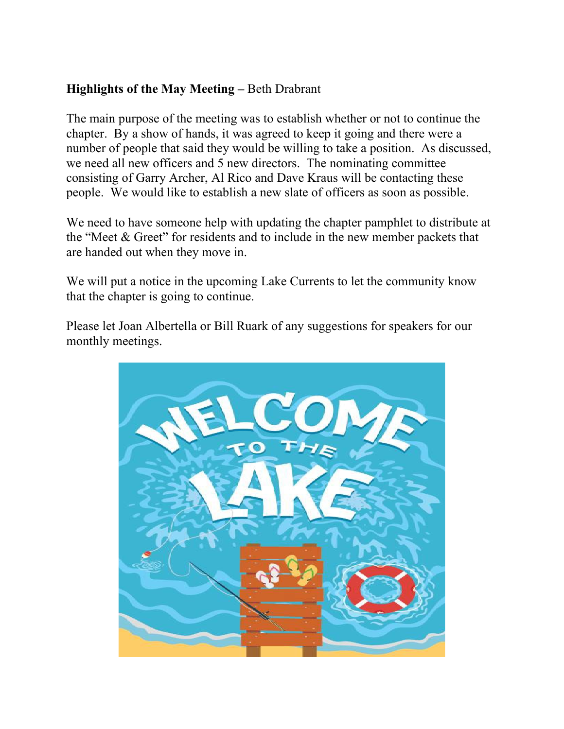# **Highlights of the May Meeting –** Beth Drabrant

The main purpose of the meeting was to establish whether or not to continue the chapter. By a show of hands, it was agreed to keep it going and there were a number of people that said they would be willing to take a position. As discussed, we need all new officers and 5 new directors. The nominating committee consisting of Garry Archer, Al Rico and Dave Kraus will be contacting these people. We would like to establish a new slate of officers as soon as possible.

We need to have someone help with updating the chapter pamphlet to distribute at the "Meet & Greet" for residents and to include in the new member packets that are handed out when they move in.

We will put a notice in the upcoming Lake Currents to let the community know that the chapter is going to continue.

Please let Joan Albertella or Bill Ruark of any suggestions for speakers for our monthly meetings.